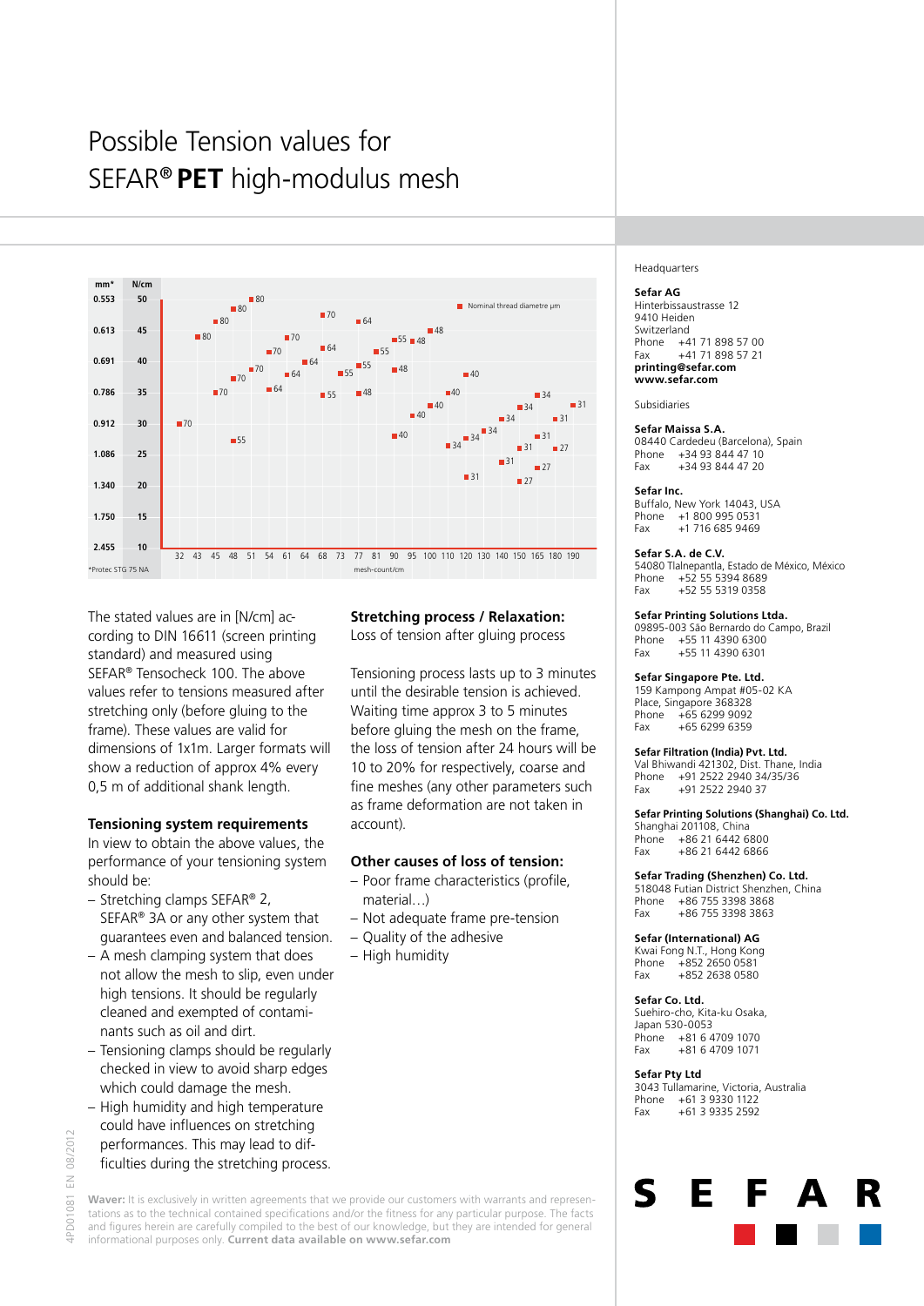# Possible Tension values for SEFAR® **PET** high-modulus mesh



The stated values are in [N/cm] according to DIN 16611 (screen printing standard) and measured using SEFAR® Tensocheck 100. The above values refer to tensions measured after stretching only (before gluing to the frame). These values are valid for dimensions of 1x1m. Larger formats will show a reduction of approx 4% every 0,5 m of additional shank length.

## **Tensioning system requirements**

In view to obtain the above values, the performance of your tensioning system should be:

- Stretching clamps SEFAR® 2, SEFAR® 3A or any other system that guarantees even and balanced tension.
- A mesh clamping system that does not allow the mesh to slip, even under high tensions. It should be regularly cleaned and exempted of contaminants such as oil and dirt.
- Tensioning clamps should be regularly checked in view to avoid sharp edges which could damage the mesh.
- High humidity and high temperature could have influences on stretching performances. This may lead to difficulties during the stretching process.

## **Stretching process / Relaxation:**

Loss of tension after gluing process

Tensioning process lasts up to 3 minutes until the desirable tension is achieved. Waiting time approx 3 to 5 minutes before gluing the mesh on the frame, the loss of tension after 24 hours will be 10 to 20% for respectively, coarse and fine meshes (any other parameters such as frame deformation are not taken in account).

## **Other causes of loss of tension:**

- Poor frame characteristics (profile, material…)
- Not adequate frame pre-tension
- Quality of the adhesive
- High humidity

#### Headquarters

#### **Sefar AG**

Hinterbissaustrasse 12 9410 Heiden Switzerland Phone +41 71 898 57 00 Fax +41 71 898 57 21 **printing@sefar.com www.sefar.com**

Subsidiaries

## **Sefar Maissa S.A.**

08440 Cardedeu (Barcelona), Spain Phone +34 93 844 47 10 Fax +34 93 844 47 20

#### **Sefar Inc.**

Buffalo, New York 14043, USA +1 800 995 0531 Fax +1 716 685 9469

#### **Sefar S.A. de C.V.**

54080 Tlalnepantla, Estado de México, México Phone +52 55 5394 8689 Fax +52 55 5319 0358

#### **Sefar Printing Solutions Ltda.**

09895-003 São Bernardo do Campo, Brazil Phone +55 11 4390 6300<br>Fax +55 11 4390 6301 +55 11 4390 6301

#### **Sefar Singapore Pte. Ltd.**

159 Kampong Ampat #05-02 KA Place, Singapore 368328 Phone +65 6299 9092<br>Fax +65 6299 6359  $+6562996359$ 

#### **Sefar Filtration (India) Pvt. Ltd.**

Val Bhiwandi 421302, Dist. Thane, India Phone +91 2522 2940 34/35/36 Fax +91 2522 2940 37

#### **Sefar Printing Solutions (Shanghai) Co. Ltd.**

Shanghai 201108, China Phone +86 21 6442 6800 Fax +86 21 6442 6866

## **Sefar Trading (Shenzhen) Co. Ltd.**

518048 Futian District Shenzhen, China Phone +86 755 3398 3868<br>Fax +86 755 3398 3863 Fax +86 755 3398 3863

## **Sefar (International) AG**

Kwai Fong N.T., Hong Kong Phone +852 2650 0581 Fax +852 2638 0580

## **Sefar Co. Ltd.**

Suehiro-cho, Kita-ku Osaka, Japan 530-0053 Phone +81 6 4709 1070<br>Fax +81 6 4709 1071 Fax +81 6 4709 1071

Е

#### **Sefar Pty Ltd**

 $\mathsf{S}$ 

3043 Tullamarine, Victoria, Australia Phone +61 3 9330 1122 Fax +61 3 9335 2592

4PD01081 EN 08/2012

1081 IPD01

08/2012  $\leq$ 

> Waver: It is exclusively in written agreements that we provide our customers with warrants and representations as to the technical contained specifications and/or the fitness for any particular purpose. The facts and figures herein are carefully compiled to the best of our knowledge, but they are intended for general

informational purposes only. **Current data available on www.sefar.com**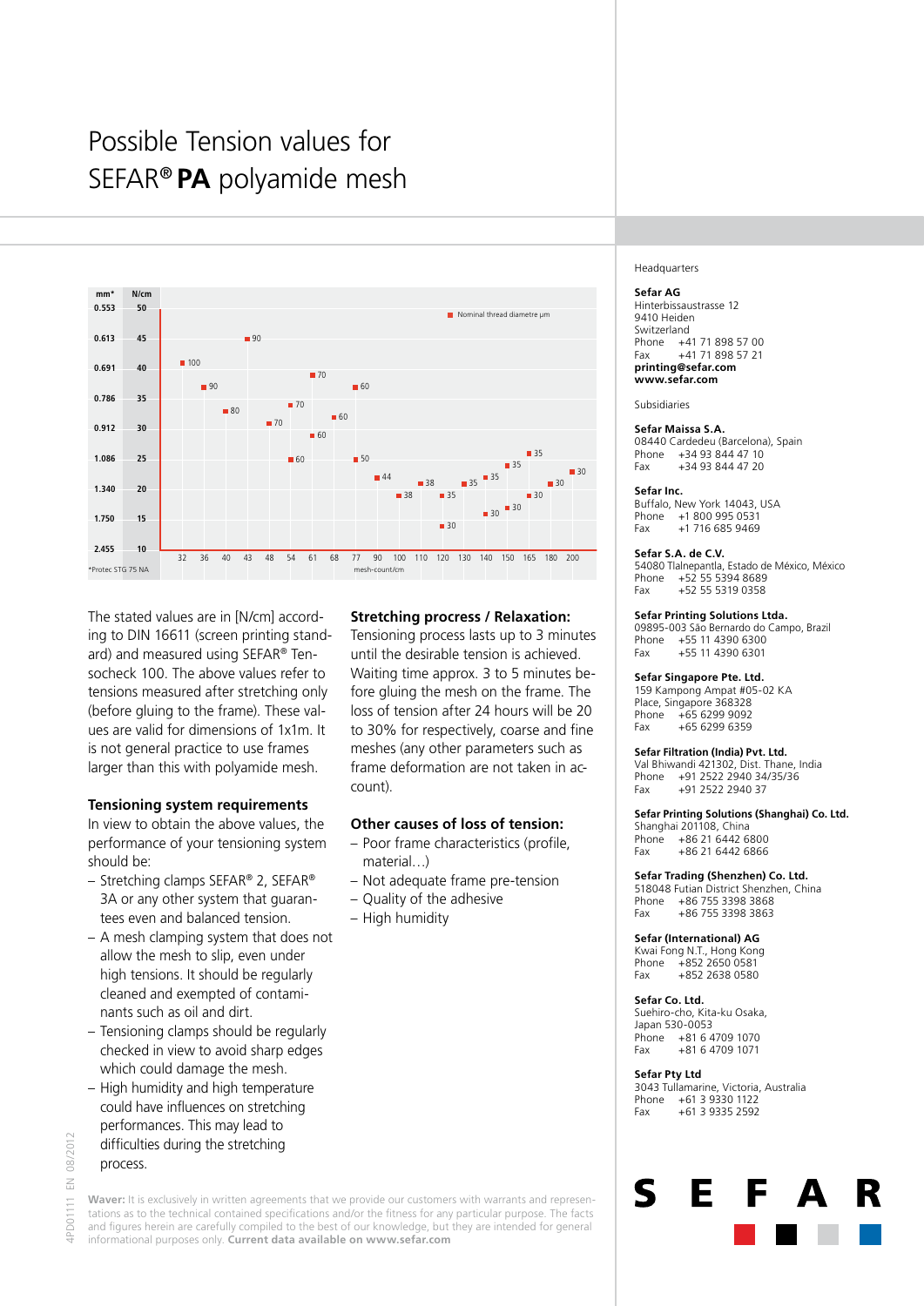# Possible Tension values for SEFAR® **PA** polyamide mesh



The stated values are in [N/cm] according to DIN 16611 (screen printing standard) and measured using SEFAR® Tensocheck 100. The above values refer to tensions measured after stretching only (before gluing to the frame). These values are valid for dimensions of 1x1m. It is not general practice to use frames larger than this with polyamide mesh.

## **Tensioning system requirements**

In view to obtain the above values, the performance of your tensioning system should be:

- Stretching clamps SEFAR® 2, SEFAR® 3A or any other system that guarantees even and balanced tension.
- A mesh clamping system that does not allow the mesh to slip, even under high tensions. It should be regularly cleaned and exempted of contaminants such as oil and dirt.
- Tensioning clamps should be regularly checked in view to avoid sharp edges which could damage the mesh.
- High humidity and high temperature could have influences on stretching performances. This may lead to difficulties during the stretching process.

## 08/2012 4PD01111 EN 08/2012 $\leq$ -PD01111

Waver: It is exclusively in written agreements that we provide our customers with warrants and representations as to the technical contained specifications and/or the fitness for any particular purpose. The facts

- and figures herein are carefully compiled to the best of our knowledge, but they are intended for general
- informational purposes only. **Current data available on www.sefar.com**

## **Stretching procress / Relaxation:**

Tensioning process lasts up to 3 minutes until the desirable tension is achieved. Waiting time approx. 3 to 5 minutes before gluing the mesh on the frame. The loss of tension after 24 hours will be 20 to 30% for respectively, coarse and fine meshes (any other parameters such as frame deformation are not taken in account).

## **Other causes of loss of tension:**

- Poor frame characteristics (profile, material…)
- Not adequate frame pre-tension
- Quality of the adhesive
- High humidity

#### Headquarters

#### **Sefar AG**

Hinterbissaustrasse 12 9410 Heiden Switzerland Phone +41 71 898 57 00 Fax +41 71 898 57 21 **printing@sefar.com www.sefar.com**

Subsidiaries

## **Sefar Maissa S.A.**

08440 Cardedeu (Barcelona), Spain Phone +34 93 844 47 10 Fax +34 93 844 47 20

#### **Sefar Inc.**

Buffalo, New York 14043, USA +1 800 995 0531 Fax +1 716 685 9469

#### **Sefar S.A. de C.V.**

54080 Tlalnepantla, Estado de México, México Phone +52 55 5394 8689 Fax +52 55 5319 0358

#### **Sefar Printing Solutions Ltda.**

09895-003 São Bernardo do Campo, Brazil Phone +55 11 4390 6300<br>Fax +55 11 4390 6301 +55 11 4390 6301

#### **Sefar Singapore Pte. Ltd.**

159 Kampong Ampat #05-02 KA Place, Singapore 368328 Phone +65 6299 9092<br>Fax +65 6299 6359  $+6562996359$ 

#### **Sefar Filtration (India) Pvt. Ltd.**

Val Bhiwandi 421302, Dist. Thane, India Phone +91 2522 2940 34/35/36 Fax +91 2522 2940 37

#### **Sefar Printing Solutions (Shanghai) Co. Ltd.**

Shanghai 201108, China Phone +86 21 6442 6800 Fax +86 21 6442 6866

#### **Sefar Trading (Shenzhen) Co. Ltd.**

518048 Futian District Shenzhen, China Phone +86 755 3398 3868<br>Fax +86 755 3398 3863 Fax +86 755 3398 3863

#### **Sefar (International) AG**

Kwai Fong N.T., Hong Kong Phone +852 2650 0581 Fax +852 2638 0580

#### **Sefar Co. Ltd.**

Suehiro-cho, Kita-ku Osaka, Japan 530-0053 Phone +81 6 4709 1070<br>Fax +81 6 4709 1071 Fax +81 6 4709 1071

Е

#### **Sefar Pty Ltd**

 $\mathsf{S}$ 

3043 Tullamarine, Victoria, Australia Phone +61 3 9330 1122 Fax +61 3 9335 2592